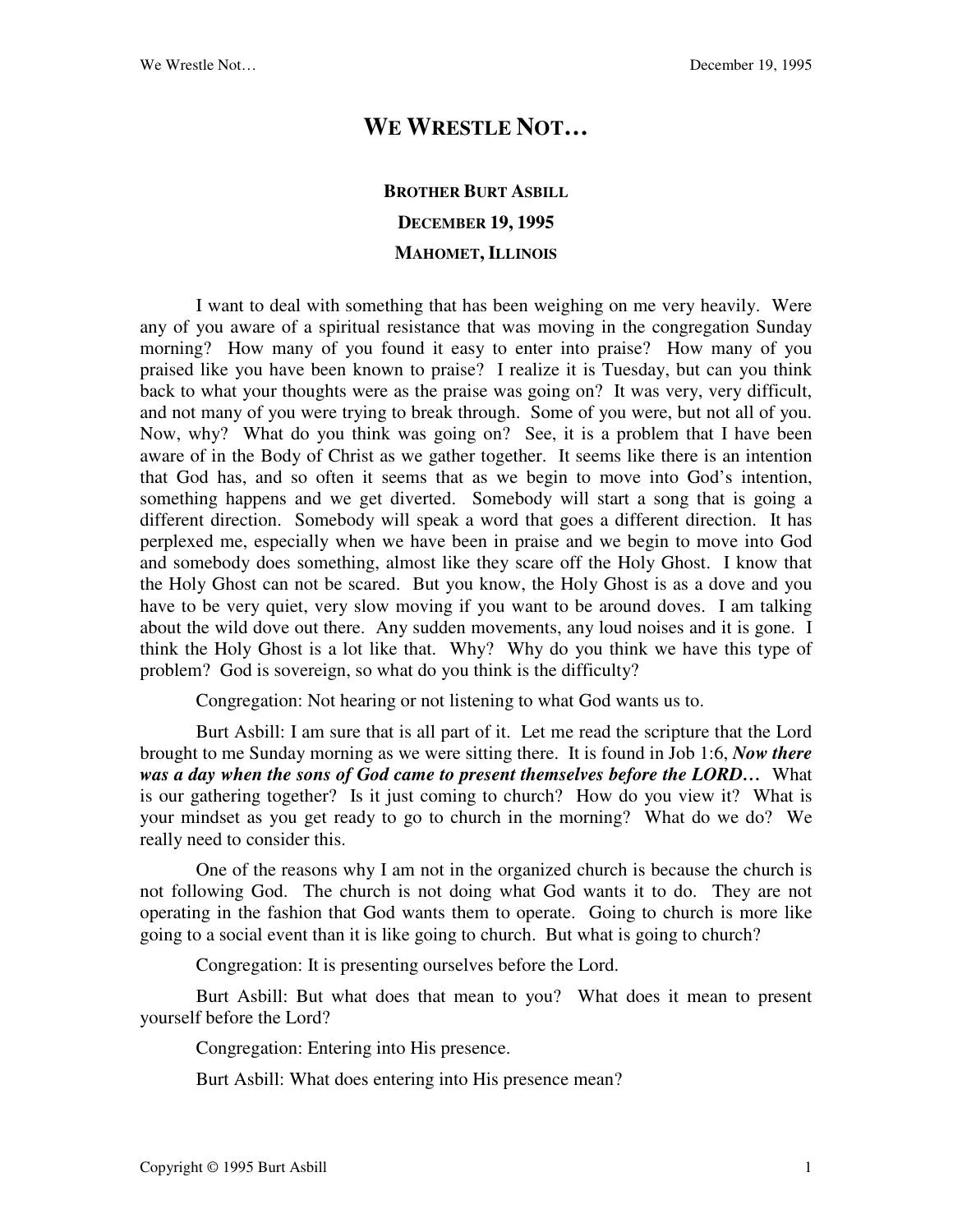## **WE WRESTLE NOT…**

## **BROTHER BURT ASBILL DECEMBER 19, 1995 MAHOMET, ILLINOIS**

I want to deal with something that has been weighing on me very heavily. Were any of you aware of a spiritual resistance that was moving in the congregation Sunday morning? How many of you found it easy to enter into praise? How many of you praised like you have been known to praise? I realize it is Tuesday, but can you think back to what your thoughts were as the praise was going on? It was very, very difficult, and not many of you were trying to break through. Some of you were, but not all of you. Now, why? What do you think was going on? See, it is a problem that I have been aware of in the Body of Christ as we gather together. It seems like there is an intention that God has, and so often it seems that as we begin to move into God's intention, something happens and we get diverted. Somebody will start a song that is going a different direction. Somebody will speak a word that goes a different direction. It has perplexed me, especially when we have been in praise and we begin to move into God and somebody does something, almost like they scare off the Holy Ghost. I know that the Holy Ghost can not be scared. But you know, the Holy Ghost is as a dove and you have to be very quiet, very slow moving if you want to be around doves. I am talking about the wild dove out there. Any sudden movements, any loud noises and it is gone. I think the Holy Ghost is a lot like that. Why? Why do you think we have this type of problem? God is sovereign, so what do you think is the difficulty?

Congregation: Not hearing or not listening to what God wants us to.

Burt Asbill: I am sure that is all part of it. Let me read the scripture that the Lord brought to me Sunday morning as we were sitting there. It is found in Job 1:6, *Now there was a day when the sons of God came to present themselves before the LORD…* What is our gathering together? Is it just coming to church? How do you view it? What is your mindset as you get ready to go to church in the morning? What do we do? We really need to consider this.

One of the reasons why I am not in the organized church is because the church is not following God. The church is not doing what God wants it to do. They are not operating in the fashion that God wants them to operate. Going to church is more like going to a social event than it is like going to church. But what is going to church?

Congregation: It is presenting ourselves before the Lord.

Burt Asbill: But what does that mean to you? What does it mean to present yourself before the Lord?

Congregation: Entering into His presence.

Burt Asbill: What does entering into His presence mean?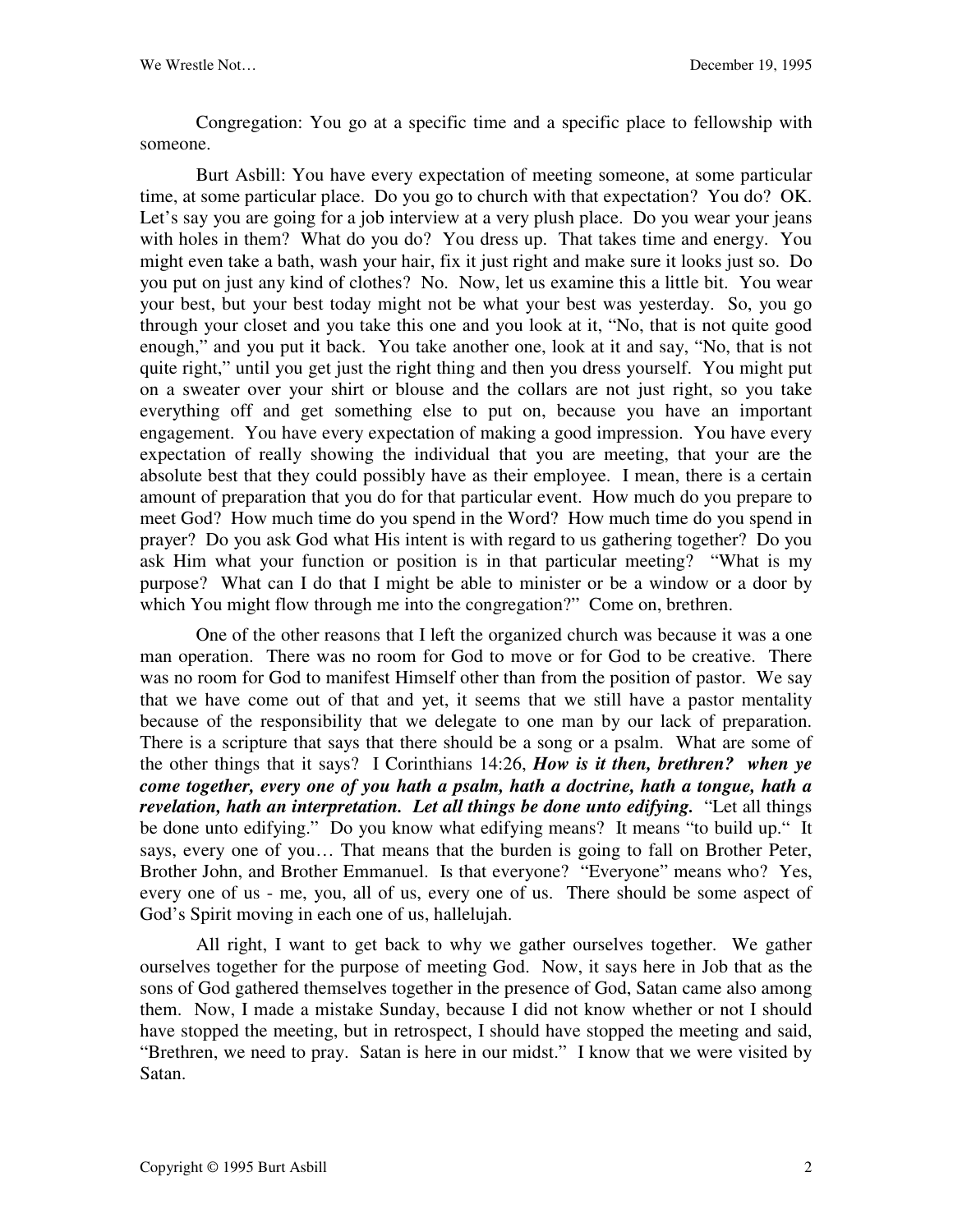Congregation: You go at a specific time and a specific place to fellowship with someone.

Burt Asbill: You have every expectation of meeting someone, at some particular time, at some particular place. Do you go to church with that expectation? You do? OK. Let's say you are going for a job interview at a very plush place. Do you wear your jeans with holes in them? What do you do? You dress up. That takes time and energy. You might even take a bath, wash your hair, fix it just right and make sure it looks just so. Do you put on just any kind of clothes? No. Now, let us examine this a little bit. You wear your best, but your best today might not be what your best was yesterday. So, you go through your closet and you take this one and you look at it, "No, that is not quite good enough," and you put it back. You take another one, look at it and say, "No, that is not quite right," until you get just the right thing and then you dress yourself. You might put on a sweater over your shirt or blouse and the collars are not just right, so you take everything off and get something else to put on, because you have an important engagement. You have every expectation of making a good impression. You have every expectation of really showing the individual that you are meeting, that your are the absolute best that they could possibly have as their employee. I mean, there is a certain amount of preparation that you do for that particular event. How much do you prepare to meet God? How much time do you spend in the Word? How much time do you spend in prayer? Do you ask God what His intent is with regard to us gathering together? Do you ask Him what your function or position is in that particular meeting? "What is my purpose? What can I do that I might be able to minister or be a window or a door by which You might flow through me into the congregation?" Come on, brethren.

One of the other reasons that I left the organized church was because it was a one man operation. There was no room for God to move or for God to be creative. There was no room for God to manifest Himself other than from the position of pastor. We say that we have come out of that and yet, it seems that we still have a pastor mentality because of the responsibility that we delegate to one man by our lack of preparation. There is a scripture that says that there should be a song or a psalm. What are some of the other things that it says? I Corinthians 14:26, *How is it then, brethren? when ye come together, every one of you hath a psalm, hath a doctrine, hath a tongue, hath a revelation, hath an interpretation. Let all things be done unto edifying.* "Let all things be done unto edifying." Do you know what edifying means? It means "to build up." It says, every one of you… That means that the burden is going to fall on Brother Peter, Brother John, and Brother Emmanuel. Is that everyone? "Everyone" means who? Yes, every one of us - me, you, all of us, every one of us. There should be some aspect of God's Spirit moving in each one of us, hallelujah.

All right, I want to get back to why we gather ourselves together. We gather ourselves together for the purpose of meeting God. Now, it says here in Job that as the sons of God gathered themselves together in the presence of God, Satan came also among them. Now, I made a mistake Sunday, because I did not know whether or not I should have stopped the meeting, but in retrospect, I should have stopped the meeting and said, "Brethren, we need to pray. Satan is here in our midst." I know that we were visited by Satan.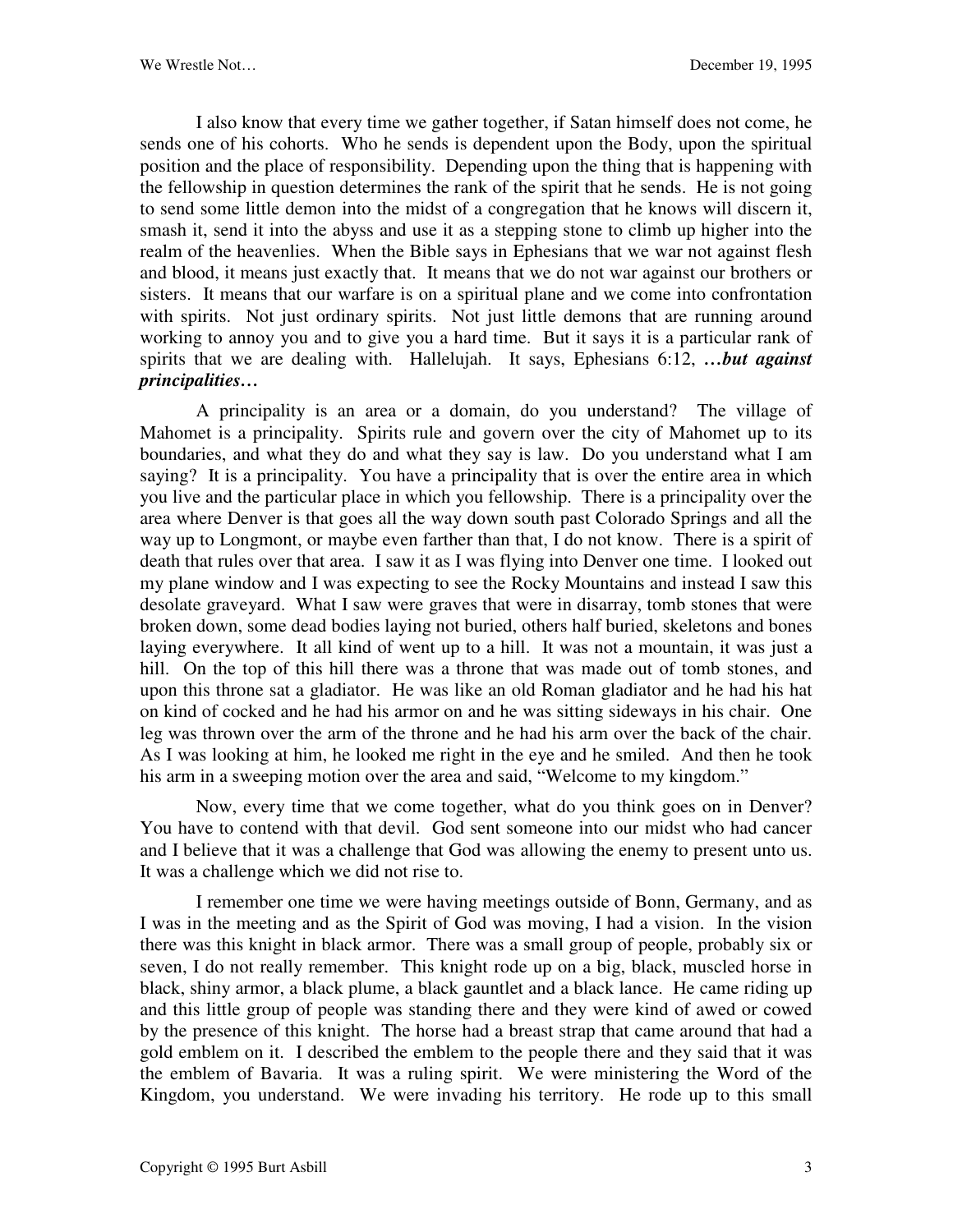I also know that every time we gather together, if Satan himself does not come, he sends one of his cohorts. Who he sends is dependent upon the Body, upon the spiritual position and the place of responsibility. Depending upon the thing that is happening with the fellowship in question determines the rank of the spirit that he sends. He is not going to send some little demon into the midst of a congregation that he knows will discern it, smash it, send it into the abyss and use it as a stepping stone to climb up higher into the realm of the heavenlies. When the Bible says in Ephesians that we war not against flesh and blood, it means just exactly that. It means that we do not war against our brothers or sisters. It means that our warfare is on a spiritual plane and we come into confrontation with spirits. Not just ordinary spirits. Not just little demons that are running around working to annoy you and to give you a hard time. But it says it is a particular rank of spirits that we are dealing with. Hallelujah. It says, Ephesians 6:12, *…but against principalities…*

A principality is an area or a domain, do you understand? The village of Mahomet is a principality. Spirits rule and govern over the city of Mahomet up to its boundaries, and what they do and what they say is law. Do you understand what I am saying? It is a principality. You have a principality that is over the entire area in which you live and the particular place in which you fellowship. There is a principality over the area where Denver is that goes all the way down south past Colorado Springs and all the way up to Longmont, or maybe even farther than that, I do not know. There is a spirit of death that rules over that area. I saw it as I was flying into Denver one time. I looked out my plane window and I was expecting to see the Rocky Mountains and instead I saw this desolate graveyard. What I saw were graves that were in disarray, tomb stones that were broken down, some dead bodies laying not buried, others half buried, skeletons and bones laying everywhere. It all kind of went up to a hill. It was not a mountain, it was just a hill. On the top of this hill there was a throne that was made out of tomb stones, and upon this throne sat a gladiator. He was like an old Roman gladiator and he had his hat on kind of cocked and he had his armor on and he was sitting sideways in his chair. One leg was thrown over the arm of the throne and he had his arm over the back of the chair. As I was looking at him, he looked me right in the eye and he smiled. And then he took his arm in a sweeping motion over the area and said, "Welcome to my kingdom."

Now, every time that we come together, what do you think goes on in Denver? You have to contend with that devil. God sent someone into our midst who had cancer and I believe that it was a challenge that God was allowing the enemy to present unto us. It was a challenge which we did not rise to.

I remember one time we were having meetings outside of Bonn, Germany, and as I was in the meeting and as the Spirit of God was moving, I had a vision. In the vision there was this knight in black armor. There was a small group of people, probably six or seven, I do not really remember. This knight rode up on a big, black, muscled horse in black, shiny armor, a black plume, a black gauntlet and a black lance. He came riding up and this little group of people was standing there and they were kind of awed or cowed by the presence of this knight. The horse had a breast strap that came around that had a gold emblem on it. I described the emblem to the people there and they said that it was the emblem of Bavaria. It was a ruling spirit. We were ministering the Word of the Kingdom, you understand. We were invading his territory. He rode up to this small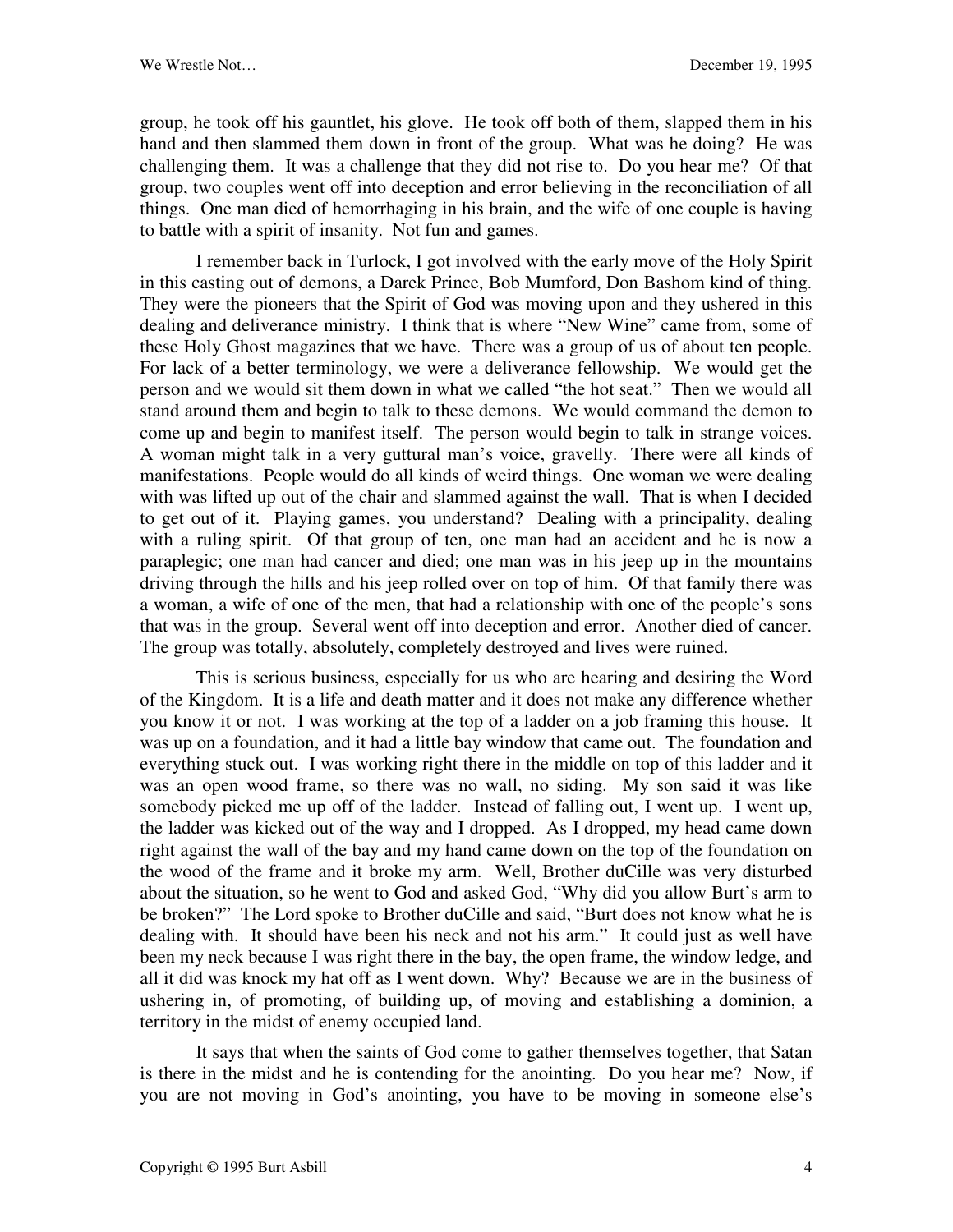group, he took off his gauntlet, his glove. He took off both of them, slapped them in his hand and then slammed them down in front of the group. What was he doing? He was challenging them. It was a challenge that they did not rise to. Do you hear me? Of that group, two couples went off into deception and error believing in the reconciliation of all things. One man died of hemorrhaging in his brain, and the wife of one couple is having to battle with a spirit of insanity. Not fun and games.

I remember back in Turlock, I got involved with the early move of the Holy Spirit in this casting out of demons, a Darek Prince, Bob Mumford, Don Bashom kind of thing. They were the pioneers that the Spirit of God was moving upon and they ushered in this dealing and deliverance ministry. I think that is where "New Wine" came from, some of these Holy Ghost magazines that we have. There was a group of us of about ten people. For lack of a better terminology, we were a deliverance fellowship. We would get the person and we would sit them down in what we called "the hot seat." Then we would all stand around them and begin to talk to these demons. We would command the demon to come up and begin to manifest itself. The person would begin to talk in strange voices. A woman might talk in a very guttural man's voice, gravelly. There were all kinds of manifestations. People would do all kinds of weird things. One woman we were dealing with was lifted up out of the chair and slammed against the wall. That is when I decided to get out of it. Playing games, you understand? Dealing with a principality, dealing with a ruling spirit. Of that group of ten, one man had an accident and he is now a paraplegic; one man had cancer and died; one man was in his jeep up in the mountains driving through the hills and his jeep rolled over on top of him. Of that family there was a woman, a wife of one of the men, that had a relationship with one of the people's sons that was in the group. Several went off into deception and error. Another died of cancer. The group was totally, absolutely, completely destroyed and lives were ruined.

This is serious business, especially for us who are hearing and desiring the Word of the Kingdom. It is a life and death matter and it does not make any difference whether you know it or not. I was working at the top of a ladder on a job framing this house. It was up on a foundation, and it had a little bay window that came out. The foundation and everything stuck out. I was working right there in the middle on top of this ladder and it was an open wood frame, so there was no wall, no siding. My son said it was like somebody picked me up off of the ladder. Instead of falling out, I went up. I went up, the ladder was kicked out of the way and I dropped. As I dropped, my head came down right against the wall of the bay and my hand came down on the top of the foundation on the wood of the frame and it broke my arm. Well, Brother duCille was very disturbed about the situation, so he went to God and asked God, "Why did you allow Burt's arm to be broken?" The Lord spoke to Brother duCille and said, "Burt does not know what he is dealing with. It should have been his neck and not his arm." It could just as well have been my neck because I was right there in the bay, the open frame, the window ledge, and all it did was knock my hat off as I went down. Why? Because we are in the business of ushering in, of promoting, of building up, of moving and establishing a dominion, a territory in the midst of enemy occupied land.

It says that when the saints of God come to gather themselves together, that Satan is there in the midst and he is contending for the anointing. Do you hear me? Now, if you are not moving in God's anointing, you have to be moving in someone else's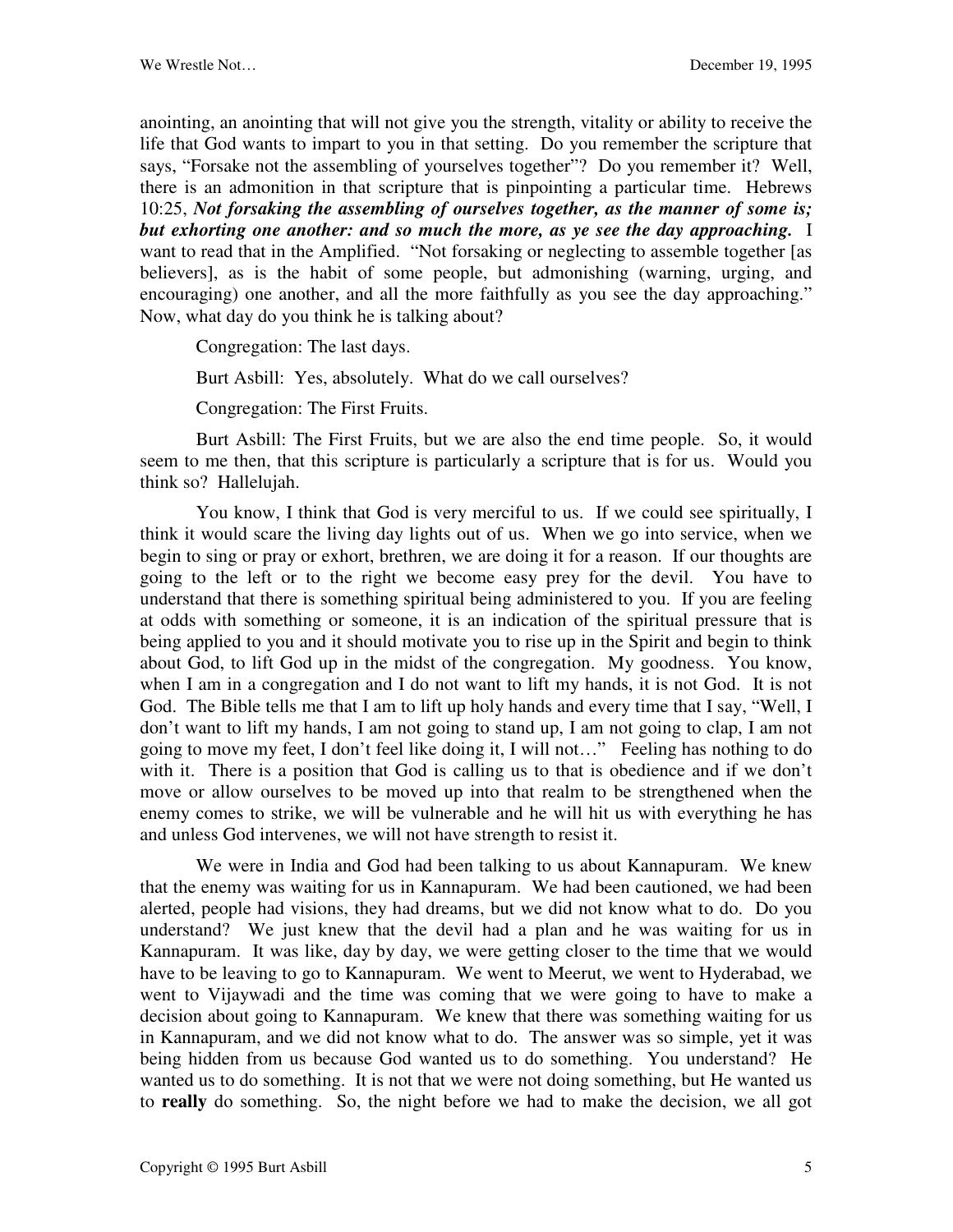anointing, an anointing that will not give you the strength, vitality or ability to receive the life that God wants to impart to you in that setting. Do you remember the scripture that says, "Forsake not the assembling of yourselves together"? Do you remember it? Well, there is an admonition in that scripture that is pinpointing a particular time. Hebrews 10:25, *Not forsaking the assembling of ourselves together, as the manner of some is; but exhorting one another: and so much the more, as ye see the day approaching.* I want to read that in the Amplified. "Not forsaking or neglecting to assemble together [as believers], as is the habit of some people, but admonishing (warning, urging, and encouraging) one another, and all the more faithfully as you see the day approaching." Now, what day do you think he is talking about?

Congregation: The last days.

Burt Asbill: Yes, absolutely. What do we call ourselves?

Congregation: The First Fruits.

Burt Asbill: The First Fruits, but we are also the end time people. So, it would seem to me then, that this scripture is particularly a scripture that is for us. Would you think so? Hallelujah.

You know, I think that God is very merciful to us. If we could see spiritually, I think it would scare the living day lights out of us. When we go into service, when we begin to sing or pray or exhort, brethren, we are doing it for a reason. If our thoughts are going to the left or to the right we become easy prey for the devil. You have to understand that there is something spiritual being administered to you. If you are feeling at odds with something or someone, it is an indication of the spiritual pressure that is being applied to you and it should motivate you to rise up in the Spirit and begin to think about God, to lift God up in the midst of the congregation. My goodness. You know, when I am in a congregation and I do not want to lift my hands, it is not God. It is not God. The Bible tells me that I am to lift up holy hands and every time that I say, "Well, I don't want to lift my hands, I am not going to stand up, I am not going to clap, I am not going to move my feet, I don't feel like doing it, I will not…" Feeling has nothing to do with it. There is a position that God is calling us to that is obedience and if we don't move or allow ourselves to be moved up into that realm to be strengthened when the enemy comes to strike, we will be vulnerable and he will hit us with everything he has and unless God intervenes, we will not have strength to resist it.

We were in India and God had been talking to us about Kannapuram. We knew that the enemy was waiting for us in Kannapuram. We had been cautioned, we had been alerted, people had visions, they had dreams, but we did not know what to do. Do you understand? We just knew that the devil had a plan and he was waiting for us in Kannapuram. It was like, day by day, we were getting closer to the time that we would have to be leaving to go to Kannapuram. We went to Meerut, we went to Hyderabad, we went to Vijaywadi and the time was coming that we were going to have to make a decision about going to Kannapuram. We knew that there was something waiting for us in Kannapuram, and we did not know what to do. The answer was so simple, yet it was being hidden from us because God wanted us to do something. You understand? He wanted us to do something. It is not that we were not doing something, but He wanted us to **really** do something. So, the night before we had to make the decision, we all got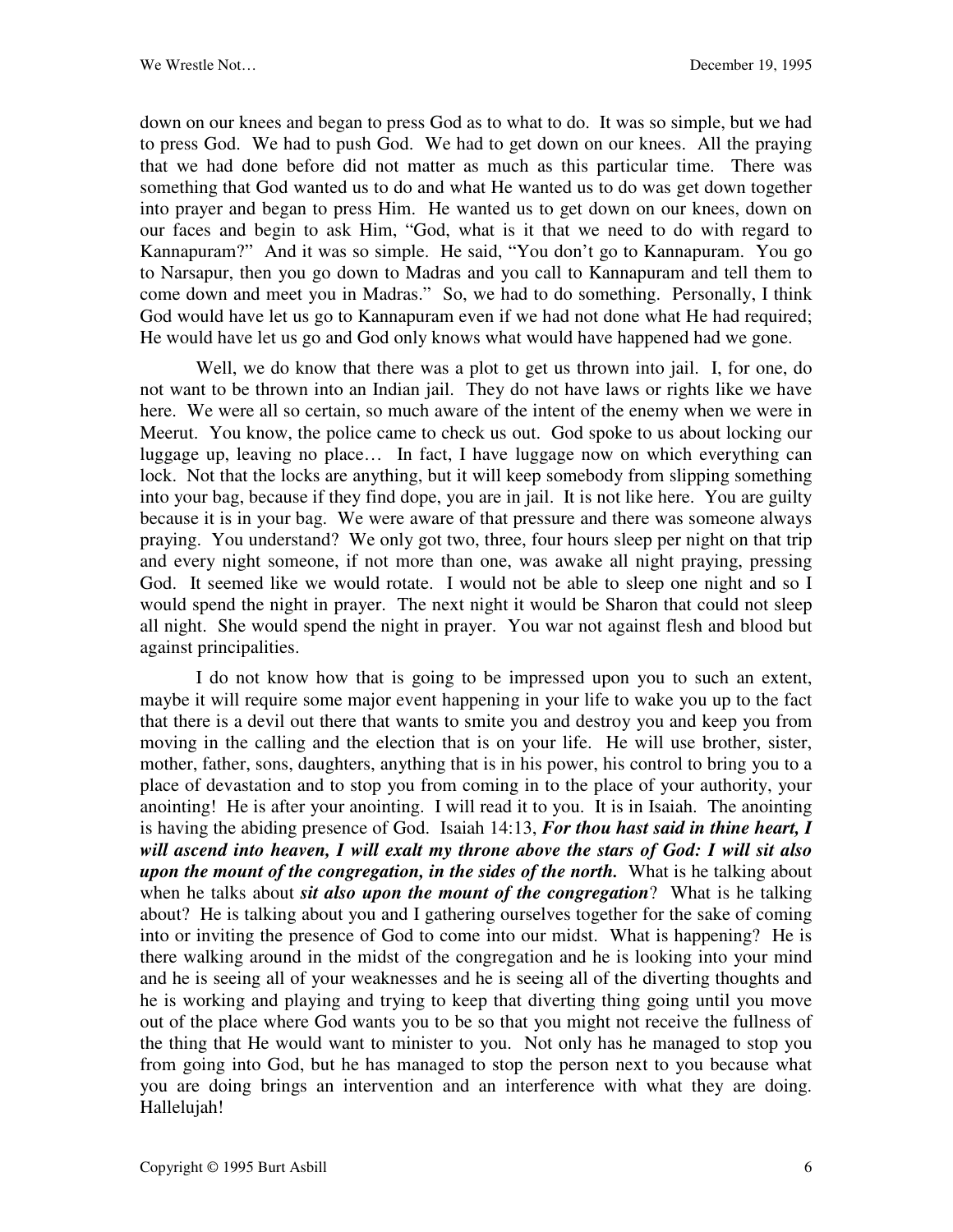down on our knees and began to press God as to what to do. It was so simple, but we had to press God. We had to push God. We had to get down on our knees. All the praying that we had done before did not matter as much as this particular time. There was something that God wanted us to do and what He wanted us to do was get down together into prayer and began to press Him. He wanted us to get down on our knees, down on our faces and begin to ask Him, "God, what is it that we need to do with regard to Kannapuram?" And it was so simple. He said, "You don't go to Kannapuram. You go to Narsapur, then you go down to Madras and you call to Kannapuram and tell them to come down and meet you in Madras." So, we had to do something. Personally, I think God would have let us go to Kannapuram even if we had not done what He had required; He would have let us go and God only knows what would have happened had we gone.

Well, we do know that there was a plot to get us thrown into jail. I, for one, do not want to be thrown into an Indian jail. They do not have laws or rights like we have here. We were all so certain, so much aware of the intent of the enemy when we were in Meerut. You know, the police came to check us out. God spoke to us about locking our luggage up, leaving no place… In fact, I have luggage now on which everything can lock. Not that the locks are anything, but it will keep somebody from slipping something into your bag, because if they find dope, you are in jail. It is not like here. You are guilty because it is in your bag. We were aware of that pressure and there was someone always praying. You understand? We only got two, three, four hours sleep per night on that trip and every night someone, if not more than one, was awake all night praying, pressing God. It seemed like we would rotate. I would not be able to sleep one night and so I would spend the night in prayer. The next night it would be Sharon that could not sleep all night. She would spend the night in prayer. You war not against flesh and blood but against principalities.

I do not know how that is going to be impressed upon you to such an extent, maybe it will require some major event happening in your life to wake you up to the fact that there is a devil out there that wants to smite you and destroy you and keep you from moving in the calling and the election that is on your life. He will use brother, sister, mother, father, sons, daughters, anything that is in his power, his control to bring you to a place of devastation and to stop you from coming in to the place of your authority, your anointing! He is after your anointing. I will read it to you. It is in Isaiah. The anointing is having the abiding presence of God. Isaiah 14:13, *For thou hast said in thine heart, I will ascend into heaven, I will exalt my throne above the stars of God: I will sit also upon the mount of the congregation, in the sides of the north.* What is he talking about when he talks about *sit also upon the mount of the congregation*? What is he talking about? He is talking about you and I gathering ourselves together for the sake of coming into or inviting the presence of God to come into our midst. What is happening? He is there walking around in the midst of the congregation and he is looking into your mind and he is seeing all of your weaknesses and he is seeing all of the diverting thoughts and he is working and playing and trying to keep that diverting thing going until you move out of the place where God wants you to be so that you might not receive the fullness of the thing that He would want to minister to you. Not only has he managed to stop you from going into God, but he has managed to stop the person next to you because what you are doing brings an intervention and an interference with what they are doing. Hallelujah!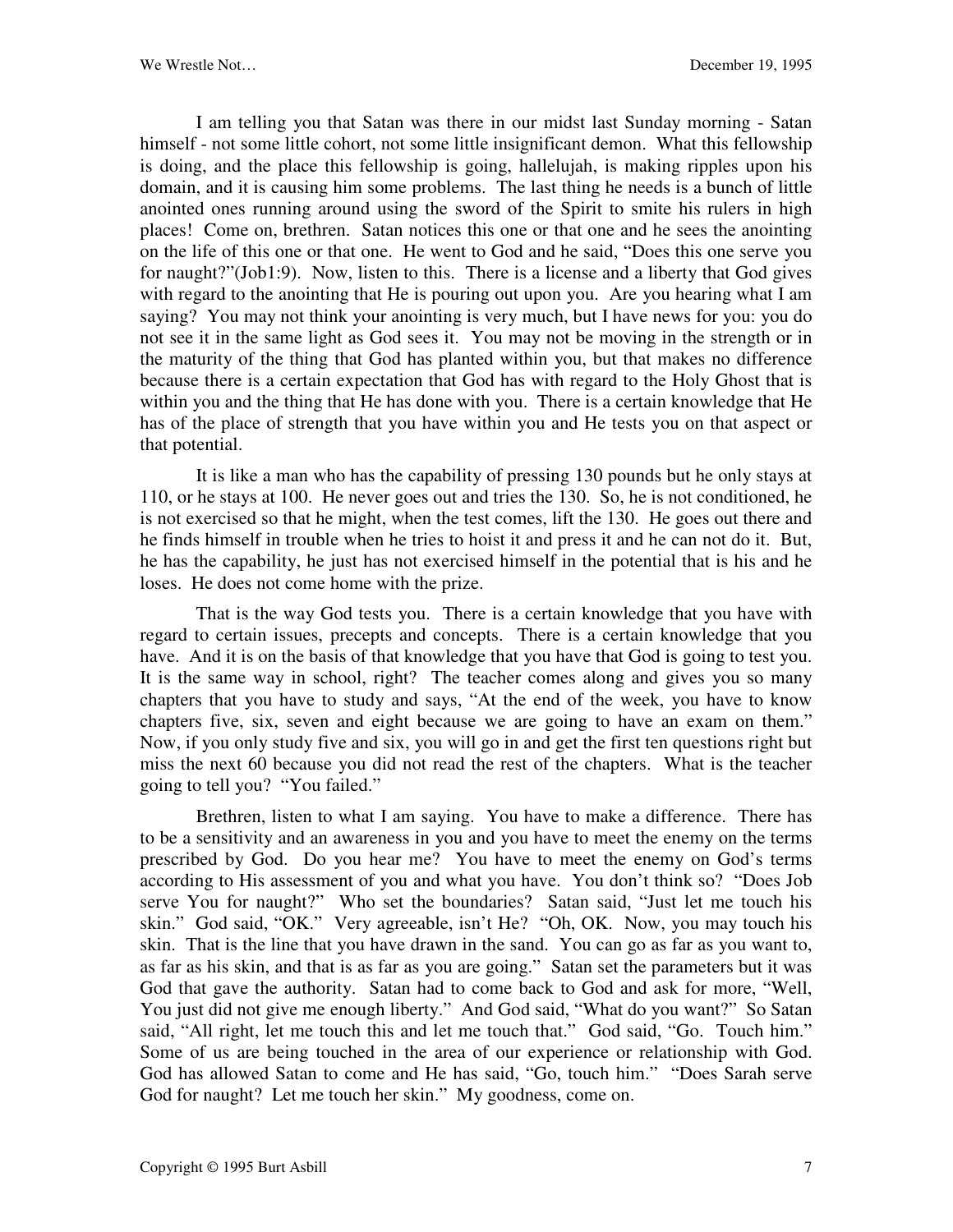I am telling you that Satan was there in our midst last Sunday morning - Satan himself - not some little cohort, not some little insignificant demon. What this fellowship is doing, and the place this fellowship is going, hallelujah, is making ripples upon his domain, and it is causing him some problems. The last thing he needs is a bunch of little anointed ones running around using the sword of the Spirit to smite his rulers in high places! Come on, brethren. Satan notices this one or that one and he sees the anointing on the life of this one or that one. He went to God and he said, "Does this one serve you for naught?"(Job1:9). Now, listen to this. There is a license and a liberty that God gives with regard to the anointing that He is pouring out upon you. Are you hearing what I am saying? You may not think your anointing is very much, but I have news for you: you do not see it in the same light as God sees it. You may not be moving in the strength or in the maturity of the thing that God has planted within you, but that makes no difference because there is a certain expectation that God has with regard to the Holy Ghost that is within you and the thing that He has done with you. There is a certain knowledge that He has of the place of strength that you have within you and He tests you on that aspect or that potential.

It is like a man who has the capability of pressing 130 pounds but he only stays at 110, or he stays at 100. He never goes out and tries the 130. So, he is not conditioned, he is not exercised so that he might, when the test comes, lift the 130. He goes out there and he finds himself in trouble when he tries to hoist it and press it and he can not do it. But, he has the capability, he just has not exercised himself in the potential that is his and he loses. He does not come home with the prize.

That is the way God tests you. There is a certain knowledge that you have with regard to certain issues, precepts and concepts. There is a certain knowledge that you have. And it is on the basis of that knowledge that you have that God is going to test you. It is the same way in school, right? The teacher comes along and gives you so many chapters that you have to study and says, "At the end of the week, you have to know chapters five, six, seven and eight because we are going to have an exam on them." Now, if you only study five and six, you will go in and get the first ten questions right but miss the next 60 because you did not read the rest of the chapters. What is the teacher going to tell you? "You failed."

Brethren, listen to what I am saying. You have to make a difference. There has to be a sensitivity and an awareness in you and you have to meet the enemy on the terms prescribed by God. Do you hear me? You have to meet the enemy on God's terms according to His assessment of you and what you have. You don't think so? "Does Job serve You for naught?" Who set the boundaries? Satan said, "Just let me touch his skin." God said, "OK." Very agreeable, isn't He? "Oh, OK. Now, you may touch his skin. That is the line that you have drawn in the sand. You can go as far as you want to, as far as his skin, and that is as far as you are going." Satan set the parameters but it was God that gave the authority. Satan had to come back to God and ask for more, "Well, You just did not give me enough liberty." And God said, "What do you want?" So Satan said, "All right, let me touch this and let me touch that." God said, "Go. Touch him." Some of us are being touched in the area of our experience or relationship with God. God has allowed Satan to come and He has said, "Go, touch him." "Does Sarah serve God for naught? Let me touch her skin." My goodness, come on.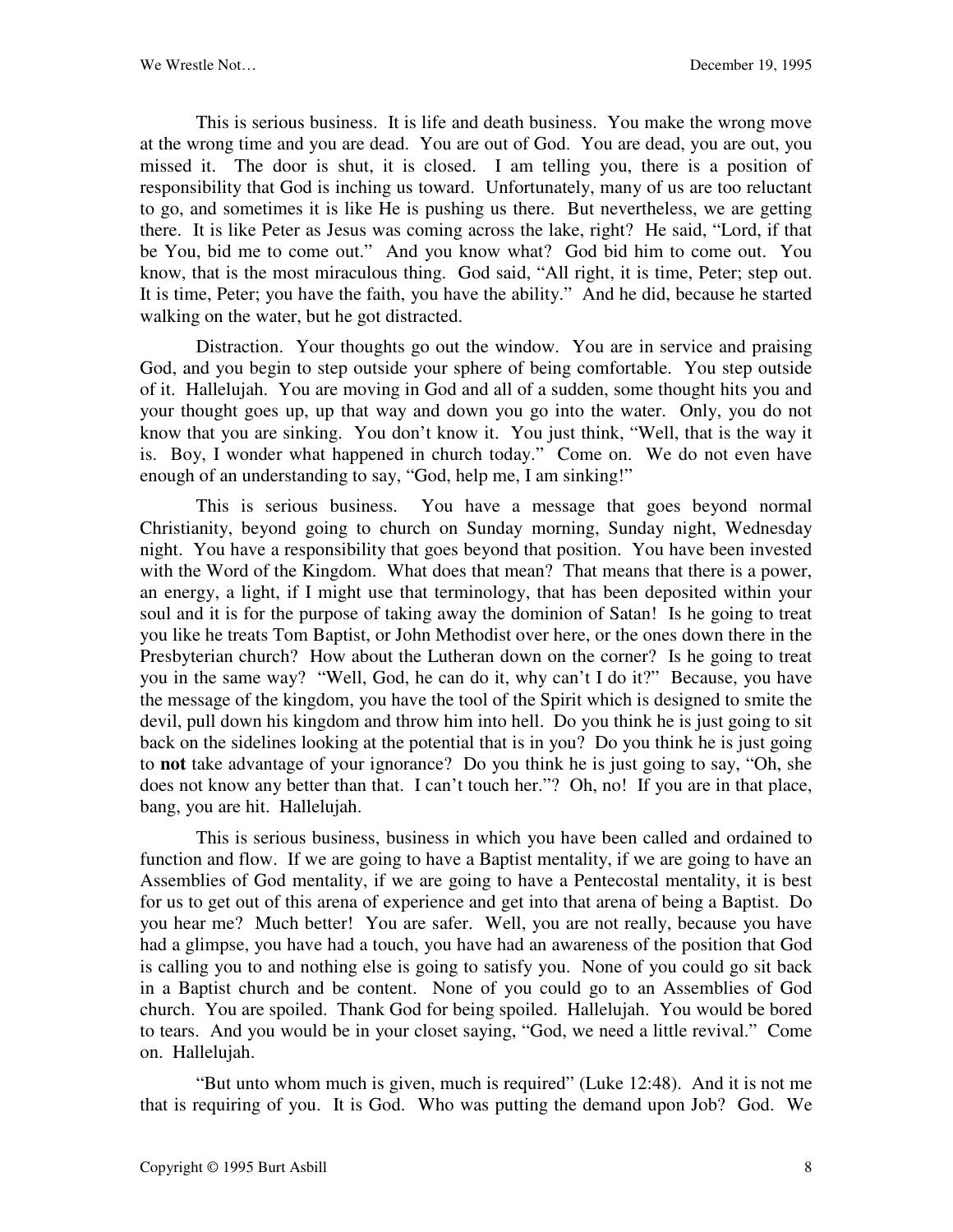This is serious business. It is life and death business. You make the wrong move at the wrong time and you are dead. You are out of God. You are dead, you are out, you missed it. The door is shut, it is closed. I am telling you, there is a position of responsibility that God is inching us toward. Unfortunately, many of us are too reluctant to go, and sometimes it is like He is pushing us there. But nevertheless, we are getting there. It is like Peter as Jesus was coming across the lake, right? He said, "Lord, if that be You, bid me to come out." And you know what? God bid him to come out. You know, that is the most miraculous thing. God said, "All right, it is time, Peter; step out. It is time, Peter; you have the faith, you have the ability." And he did, because he started walking on the water, but he got distracted.

Distraction. Your thoughts go out the window. You are in service and praising God, and you begin to step outside your sphere of being comfortable. You step outside of it. Hallelujah. You are moving in God and all of a sudden, some thought hits you and your thought goes up, up that way and down you go into the water. Only, you do not know that you are sinking. You don't know it. You just think, "Well, that is the way it is. Boy, I wonder what happened in church today." Come on. We do not even have enough of an understanding to say, "God, help me, I am sinking!"

This is serious business. You have a message that goes beyond normal Christianity, beyond going to church on Sunday morning, Sunday night, Wednesday night. You have a responsibility that goes beyond that position. You have been invested with the Word of the Kingdom. What does that mean? That means that there is a power, an energy, a light, if I might use that terminology, that has been deposited within your soul and it is for the purpose of taking away the dominion of Satan! Is he going to treat you like he treats Tom Baptist, or John Methodist over here, or the ones down there in the Presbyterian church? How about the Lutheran down on the corner? Is he going to treat you in the same way? "Well, God, he can do it, why can't I do it?" Because, you have the message of the kingdom, you have the tool of the Spirit which is designed to smite the devil, pull down his kingdom and throw him into hell. Do you think he is just going to sit back on the sidelines looking at the potential that is in you? Do you think he is just going to **not** take advantage of your ignorance? Do you think he is just going to say, "Oh, she does not know any better than that. I can't touch her."? Oh, no! If you are in that place, bang, you are hit. Hallelujah.

This is serious business, business in which you have been called and ordained to function and flow. If we are going to have a Baptist mentality, if we are going to have an Assemblies of God mentality, if we are going to have a Pentecostal mentality, it is best for us to get out of this arena of experience and get into that arena of being a Baptist. Do you hear me? Much better! You are safer. Well, you are not really, because you have had a glimpse, you have had a touch, you have had an awareness of the position that God is calling you to and nothing else is going to satisfy you. None of you could go sit back in a Baptist church and be content. None of you could go to an Assemblies of God church. You are spoiled. Thank God for being spoiled. Hallelujah. You would be bored to tears. And you would be in your closet saying, "God, we need a little revival." Come on. Hallelujah.

"But unto whom much is given, much is required" (Luke 12:48). And it is not me that is requiring of you. It is God. Who was putting the demand upon Job? God. We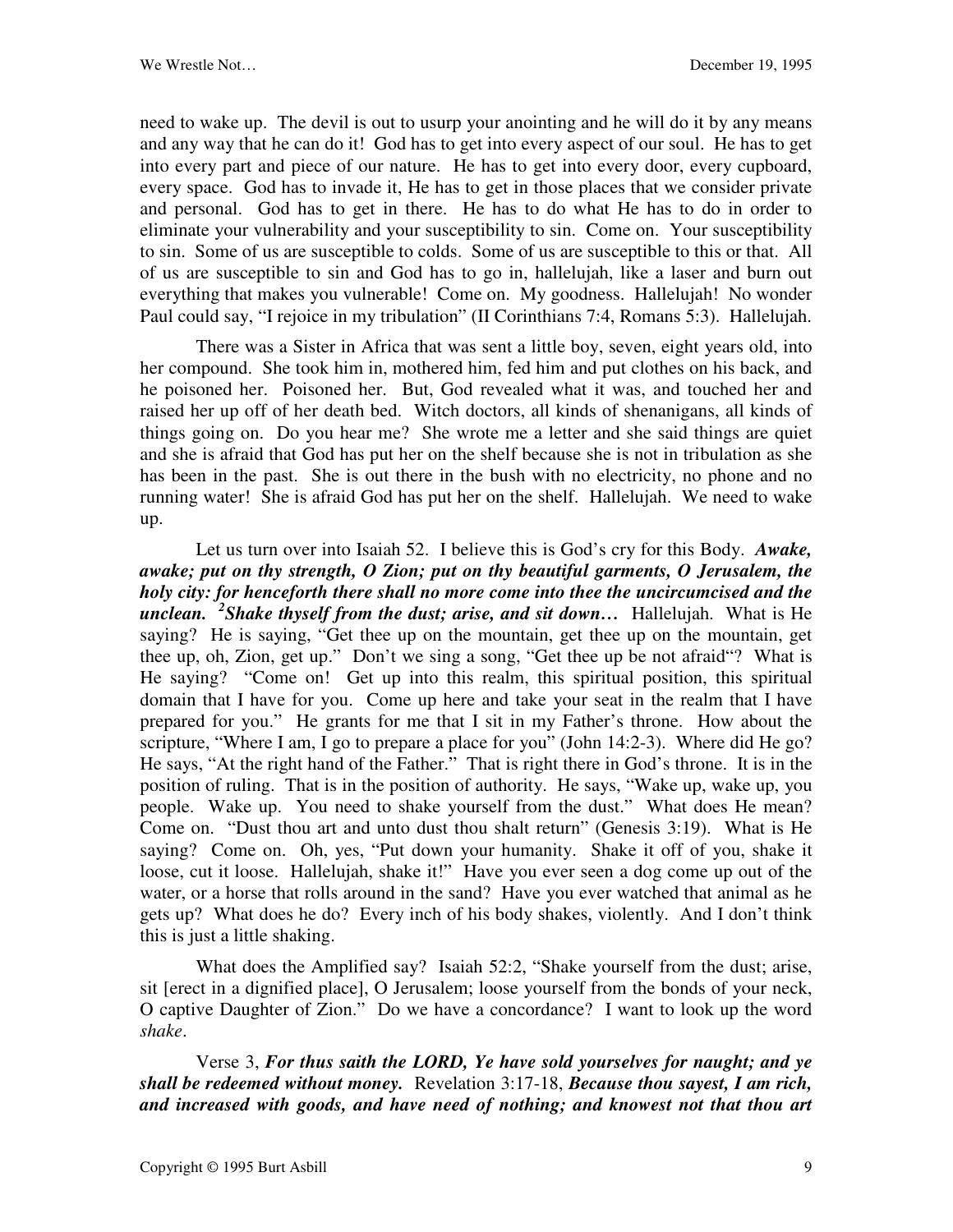need to wake up. The devil is out to usurp your anointing and he will do it by any means and any way that he can do it! God has to get into every aspect of our soul. He has to get into every part and piece of our nature. He has to get into every door, every cupboard, every space. God has to invade it, He has to get in those places that we consider private and personal. God has to get in there. He has to do what He has to do in order to eliminate your vulnerability and your susceptibility to sin. Come on. Your susceptibility to sin. Some of us are susceptible to colds. Some of us are susceptible to this or that. All of us are susceptible to sin and God has to go in, hallelujah, like a laser and burn out everything that makes you vulnerable! Come on. My goodness. Hallelujah! No wonder Paul could say, "I rejoice in my tribulation" (II Corinthians 7:4, Romans 5:3). Hallelujah.

There was a Sister in Africa that was sent a little boy, seven, eight years old, into her compound. She took him in, mothered him, fed him and put clothes on his back, and he poisoned her. Poisoned her. But, God revealed what it was, and touched her and raised her up off of her death bed. Witch doctors, all kinds of shenanigans, all kinds of things going on. Do you hear me? She wrote me a letter and she said things are quiet and she is afraid that God has put her on the shelf because she is not in tribulation as she has been in the past. She is out there in the bush with no electricity, no phone and no running water! She is afraid God has put her on the shelf. Hallelujah. We need to wake up.

Let us turn over into Isaiah 52. I believe this is God's cry for this Body. *Awake, awake; put on thy strength, O Zion; put on thy beautiful garments, O Jerusalem, the holy city: for henceforth there shall no more come into thee the uncircumcised and the unclean. <sup>2</sup> Shake thyself from the dust; arise, and sit down…* Hallelujah. What is He saying? He is saying, "Get thee up on the mountain, get thee up on the mountain, get thee up, oh, Zion, get up." Don't we sing a song, "Get thee up be not afraid"? What is He saying? "Come on! Get up into this realm, this spiritual position, this spiritual domain that I have for you. Come up here and take your seat in the realm that I have prepared for you." He grants for me that I sit in my Father's throne. How about the scripture, "Where I am, I go to prepare a place for you" (John 14:2-3). Where did He go? He says, "At the right hand of the Father." That is right there in God's throne. It is in the position of ruling. That is in the position of authority. He says, "Wake up, wake up, you people. Wake up. You need to shake yourself from the dust." What does He mean? Come on. "Dust thou art and unto dust thou shalt return" (Genesis 3:19). What is He saying? Come on. Oh, yes, "Put down your humanity. Shake it off of you, shake it loose, cut it loose. Hallelujah, shake it!" Have you ever seen a dog come up out of the water, or a horse that rolls around in the sand? Have you ever watched that animal as he gets up? What does he do? Every inch of his body shakes, violently. And I don't think this is just a little shaking.

What does the Amplified say? Isaiah 52:2, "Shake yourself from the dust; arise, sit [erect in a dignified place], O Jerusalem; loose yourself from the bonds of your neck, O captive Daughter of Zion." Do we have a concordance? I want to look up the word *shake*.

Verse 3, *For thus saith the LORD, Ye have sold yourselves for naught; and ye shall be redeemed without money.* Revelation 3:17-18, *Because thou sayest, I am rich, and increased with goods, and have need of nothing; and knowest not that thou art*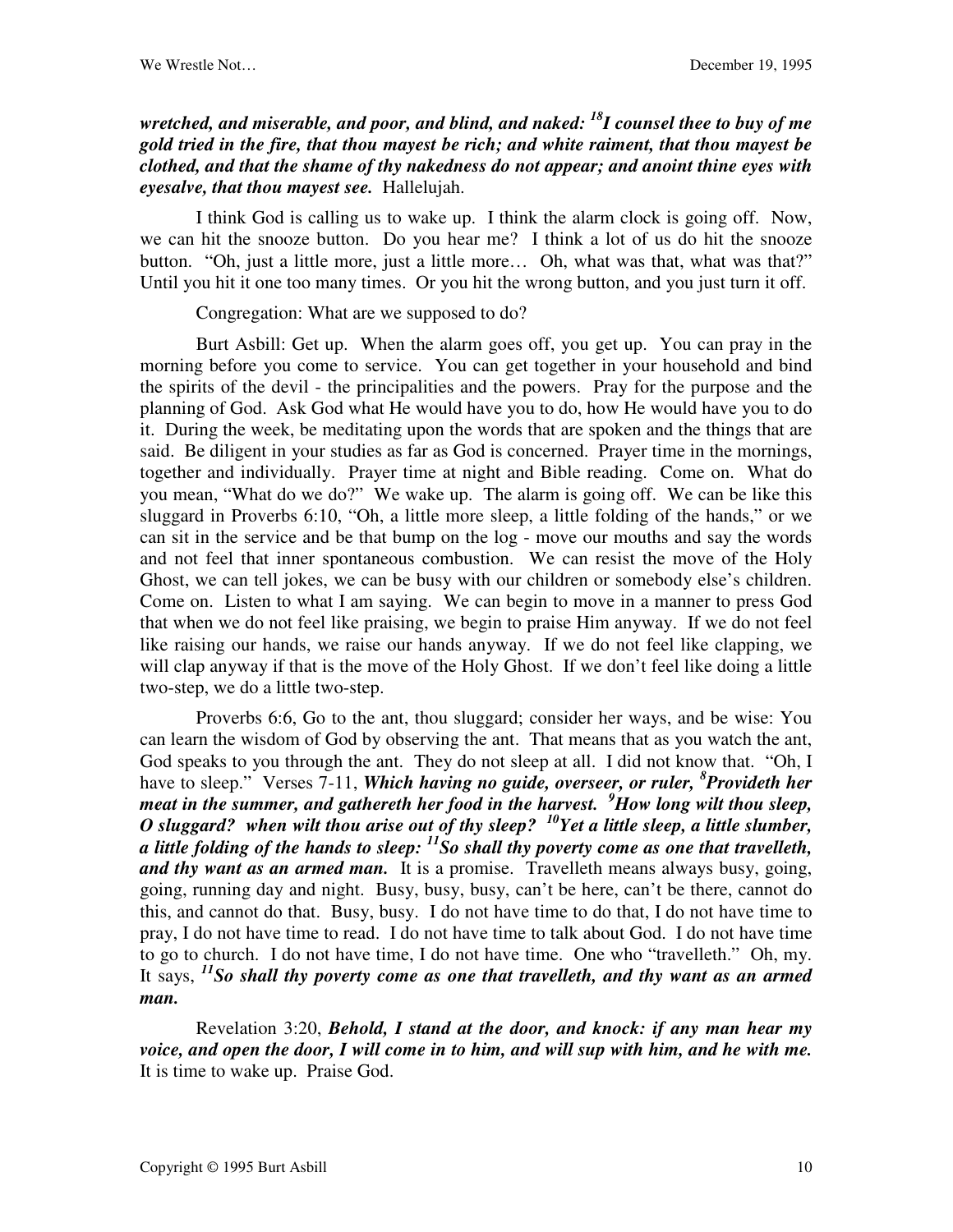## *wretched, and miserable, and poor, and blind, and naked: <sup>18</sup>I counsel thee to buy of me gold tried in the fire, that thou mayest be rich; and white raiment, that thou mayest be clothed, and that the shame of thy nakedness do not appear; and anoint thine eyes with eyesalve, that thou mayest see.* Hallelujah.

I think God is calling us to wake up. I think the alarm clock is going off. Now, we can hit the snooze button. Do you hear me? I think a lot of us do hit the snooze button. "Oh, just a little more, just a little more… Oh, what was that, what was that?" Until you hit it one too many times. Or you hit the wrong button, and you just turn it off.

Congregation: What are we supposed to do?

Burt Asbill: Get up. When the alarm goes off, you get up. You can pray in the morning before you come to service. You can get together in your household and bind the spirits of the devil - the principalities and the powers. Pray for the purpose and the planning of God. Ask God what He would have you to do, how He would have you to do it. During the week, be meditating upon the words that are spoken and the things that are said. Be diligent in your studies as far as God is concerned. Prayer time in the mornings, together and individually. Prayer time at night and Bible reading. Come on. What do you mean, "What do we do?" We wake up. The alarm is going off. We can be like this sluggard in Proverbs 6:10, "Oh, a little more sleep, a little folding of the hands," or we can sit in the service and be that bump on the log - move our mouths and say the words and not feel that inner spontaneous combustion. We can resist the move of the Holy Ghost, we can tell jokes, we can be busy with our children or somebody else's children. Come on. Listen to what I am saying. We can begin to move in a manner to press God that when we do not feel like praising, we begin to praise Him anyway. If we do not feel like raising our hands, we raise our hands anyway. If we do not feel like clapping, we will clap anyway if that is the move of the Holy Ghost. If we don't feel like doing a little two-step, we do a little two-step.

Proverbs 6:6, Go to the ant, thou sluggard; consider her ways, and be wise: You can learn the wisdom of God by observing the ant. That means that as you watch the ant, God speaks to you through the ant. They do not sleep at all. I did not know that. "Oh, I have to sleep." Verses 7-11, *Which having no guide, overseer, or ruler, <sup>8</sup> Provideth her meat in the summer, and gathereth her food in the harvest. <sup>9</sup>How long wilt thou sleep, O sluggard? when wilt thou arise out of thy sleep? <sup>10</sup>Yet a little sleep, a little slumber, a little folding of the hands to sleep: <sup>11</sup>So shall thy poverty come as one that travelleth, and thy want as an armed man.* It is a promise. Travelleth means always busy, going, going, running day and night. Busy, busy, busy, can't be here, can't be there, cannot do this, and cannot do that. Busy, busy. I do not have time to do that, I do not have time to pray, I do not have time to read. I do not have time to talk about God. I do not have time to go to church. I do not have time, I do not have time. One who "travelleth." Oh, my. It says, *<sup>11</sup>So shall thy poverty come as one that travelleth, and thy want as an armed man.*

Revelation 3:20, *Behold, I stand at the door, and knock: if any man hear my voice, and open the door, I will come in to him, and will sup with him, and he with me.* It is time to wake up. Praise God.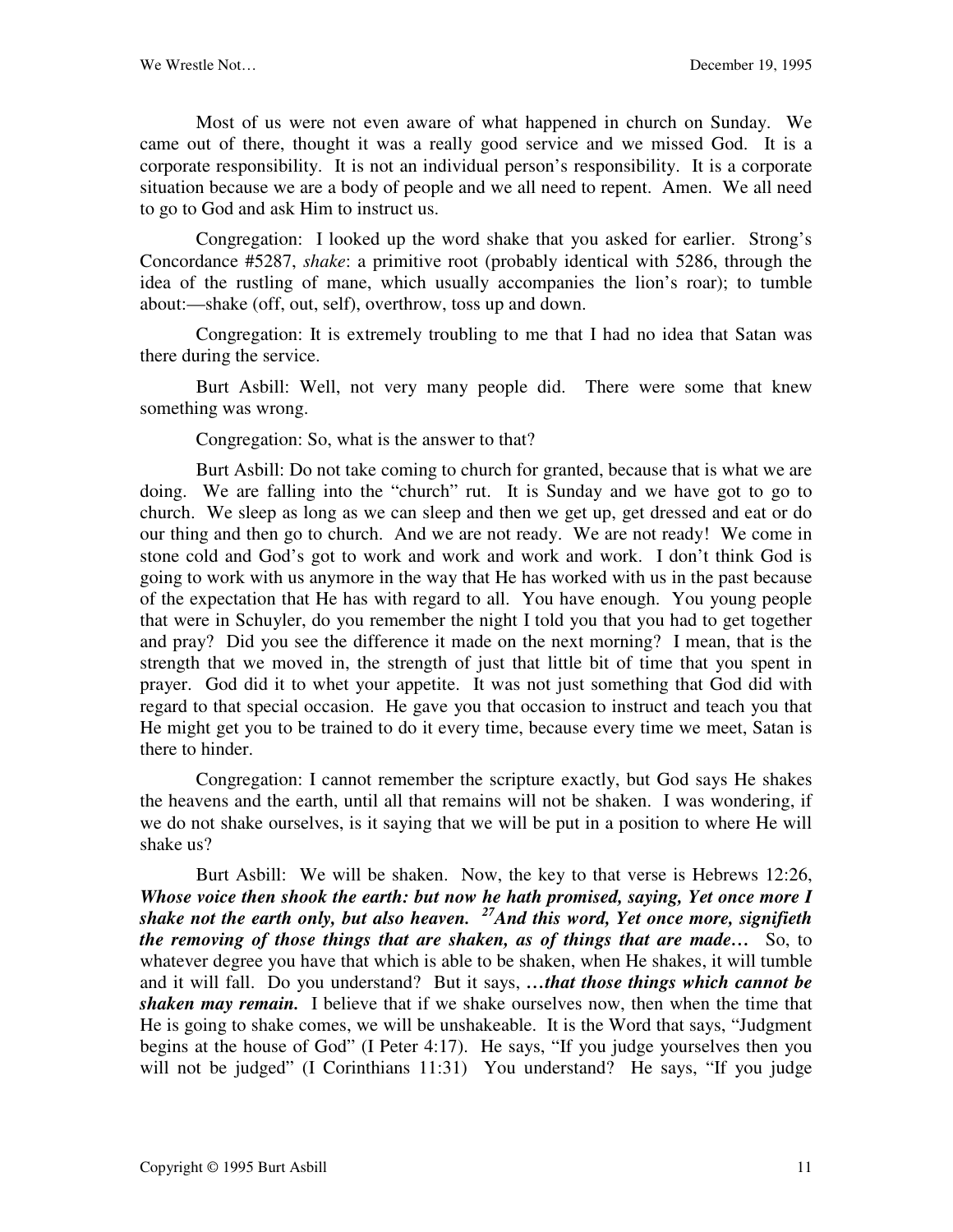Most of us were not even aware of what happened in church on Sunday. We came out of there, thought it was a really good service and we missed God. It is a corporate responsibility. It is not an individual person's responsibility. It is a corporate situation because we are a body of people and we all need to repent. Amen. We all need to go to God and ask Him to instruct us.

Congregation: I looked up the word shake that you asked for earlier. Strong's Concordance #5287, *shake*: a primitive root (probably identical with 5286, through the idea of the rustling of mane, which usually accompanies the lion's roar); to tumble about:—shake (off, out, self), overthrow, toss up and down.

Congregation: It is extremely troubling to me that I had no idea that Satan was there during the service.

Burt Asbill: Well, not very many people did. There were some that knew something was wrong.

Congregation: So, what is the answer to that?

Burt Asbill: Do not take coming to church for granted, because that is what we are doing. We are falling into the "church" rut. It is Sunday and we have got to go to church. We sleep as long as we can sleep and then we get up, get dressed and eat or do our thing and then go to church. And we are not ready. We are not ready! We come in stone cold and God's got to work and work and work and work. I don't think God is going to work with us anymore in the way that He has worked with us in the past because of the expectation that He has with regard to all. You have enough. You young people that were in Schuyler, do you remember the night I told you that you had to get together and pray? Did you see the difference it made on the next morning? I mean, that is the strength that we moved in, the strength of just that little bit of time that you spent in prayer. God did it to whet your appetite. It was not just something that God did with regard to that special occasion. He gave you that occasion to instruct and teach you that He might get you to be trained to do it every time, because every time we meet, Satan is there to hinder.

Congregation: I cannot remember the scripture exactly, but God says He shakes the heavens and the earth, until all that remains will not be shaken. I was wondering, if we do not shake ourselves, is it saying that we will be put in a position to where He will shake us?

Burt Asbill: We will be shaken. Now, the key to that verse is Hebrews 12:26, *Whose voice then shook the earth: but now he hath promised, saying, Yet once more I shake not the earth only, but also heaven. <sup>27</sup>And this word, Yet once more, signifieth the removing of those things that are shaken, as of things that are made…* So, to whatever degree you have that which is able to be shaken, when He shakes, it will tumble and it will fall. Do you understand? But it says, *…that those things which cannot be shaken may remain.* I believe that if we shake ourselves now, then when the time that He is going to shake comes, we will be unshakeable. It is the Word that says, "Judgment begins at the house of God" (I Peter 4:17). He says, "If you judge yourselves then you will not be judged" (I Corinthians 11:31) You understand? He says, "If you judge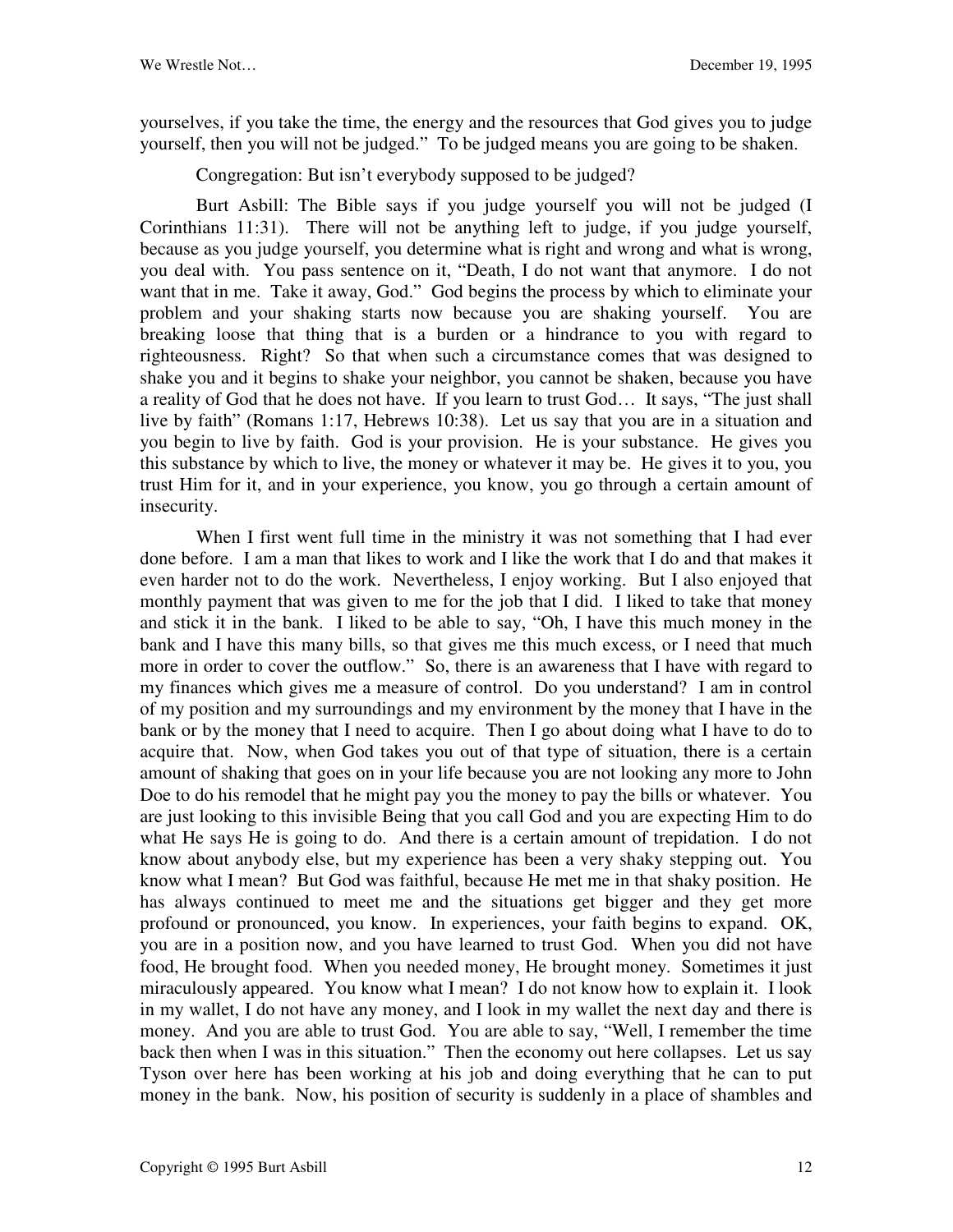yourselves, if you take the time, the energy and the resources that God gives you to judge yourself, then you will not be judged." To be judged means you are going to be shaken.

Congregation: But isn't everybody supposed to be judged?

Burt Asbill: The Bible says if you judge yourself you will not be judged (I Corinthians 11:31). There will not be anything left to judge, if you judge yourself, because as you judge yourself, you determine what is right and wrong and what is wrong, you deal with. You pass sentence on it, "Death, I do not want that anymore. I do not want that in me. Take it away, God." God begins the process by which to eliminate your problem and your shaking starts now because you are shaking yourself. You are breaking loose that thing that is a burden or a hindrance to you with regard to righteousness. Right? So that when such a circumstance comes that was designed to shake you and it begins to shake your neighbor, you cannot be shaken, because you have a reality of God that he does not have. If you learn to trust God… It says, "The just shall live by faith" (Romans 1:17, Hebrews 10:38). Let us say that you are in a situation and you begin to live by faith. God is your provision. He is your substance. He gives you this substance by which to live, the money or whatever it may be. He gives it to you, you trust Him for it, and in your experience, you know, you go through a certain amount of insecurity.

When I first went full time in the ministry it was not something that I had ever done before. I am a man that likes to work and I like the work that I do and that makes it even harder not to do the work. Nevertheless, I enjoy working. But I also enjoyed that monthly payment that was given to me for the job that I did. I liked to take that money and stick it in the bank. I liked to be able to say, "Oh, I have this much money in the bank and I have this many bills, so that gives me this much excess, or I need that much more in order to cover the outflow." So, there is an awareness that I have with regard to my finances which gives me a measure of control. Do you understand? I am in control of my position and my surroundings and my environment by the money that I have in the bank or by the money that I need to acquire. Then I go about doing what I have to do to acquire that. Now, when God takes you out of that type of situation, there is a certain amount of shaking that goes on in your life because you are not looking any more to John Doe to do his remodel that he might pay you the money to pay the bills or whatever. You are just looking to this invisible Being that you call God and you are expecting Him to do what He says He is going to do. And there is a certain amount of trepidation. I do not know about anybody else, but my experience has been a very shaky stepping out. You know what I mean? But God was faithful, because He met me in that shaky position. He has always continued to meet me and the situations get bigger and they get more profound or pronounced, you know. In experiences, your faith begins to expand. OK, you are in a position now, and you have learned to trust God. When you did not have food, He brought food. When you needed money, He brought money. Sometimes it just miraculously appeared. You know what I mean? I do not know how to explain it. I look in my wallet, I do not have any money, and I look in my wallet the next day and there is money. And you are able to trust God. You are able to say, "Well, I remember the time back then when I was in this situation." Then the economy out here collapses. Let us say Tyson over here has been working at his job and doing everything that he can to put money in the bank. Now, his position of security is suddenly in a place of shambles and